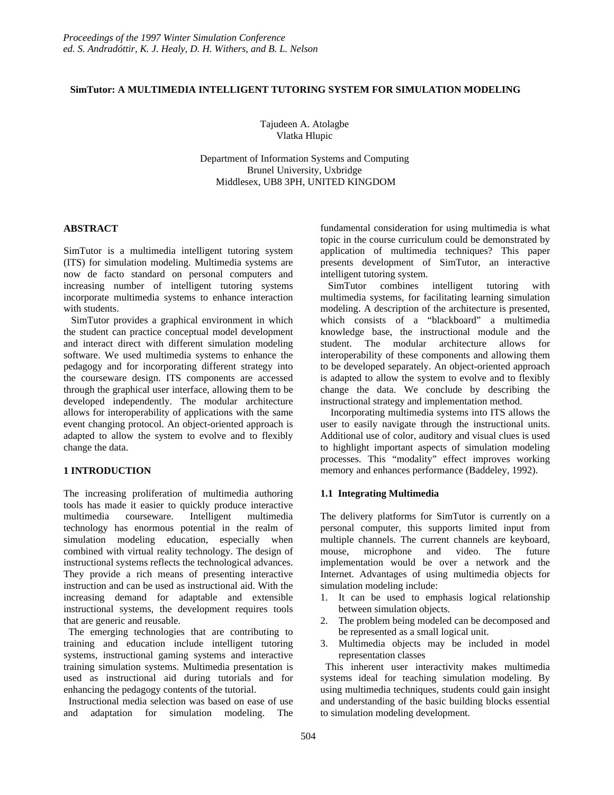# **SimTutor: A MULTIMEDIA INTELLIGENT TUTORING SYSTEM FOR SIMULATION MODELING**

Tajudeen A. Atolagbe Vlatka Hlupic

Department of Information Systems and Computing Brunel University, Uxbridge Middlesex, UB8 3PH, UNITED KINGDOM

## **ABSTRACT**

SimTutor is a multimedia intelligent tutoring system (ITS) for simulation modeling. Multimedia systems are now de facto standard on personal computers and increasing number of intelligent tutoring systems incorporate multimedia systems to enhance interaction with students.

 SimTutor provides a graphical environment in which the student can practice conceptual model development and interact direct with different simulation modeling software. We used multimedia systems to enhance the pedagogy and for incorporating different strategy into the courseware design. ITS components are accessed through the graphical user interface, allowing them to be developed independently. The modular architecture allows for interoperability of applications with the same event changing protocol. An object-oriented approach is adapted to allow the system to evolve and to flexibly change the data.

# **1 INTRODUCTION**

The increasing proliferation of multimedia authoring tools has made it easier to quickly produce interactive multimedia courseware. Intelligent multimedia technology has enormous potential in the realm of simulation modeling education, especially when combined with virtual reality technology. The design of instructional systems reflects the technological advances. They provide a rich means of presenting interactive instruction and can be used as instructional aid. With the increasing demand for adaptable and extensible instructional systems, the development requires tools that are generic and reusable.

 The emerging technologies that are contributing to training and education include intelligent tutoring systems, instructional gaming systems and interactive training simulation systems. Multimedia presentation is used as instructional aid during tutorials and for enhancing the pedagogy contents of the tutorial.

 Instructional media selection was based on ease of use and adaptation for simulation modeling. The fundamental consideration for using multimedia is what topic in the course curriculum could be demonstrated by application of multimedia techniques? This paper presents development of SimTutor, an interactive intelligent tutoring system.

 SimTutor combines intelligent tutoring with multimedia systems, for facilitating learning simulation modeling. A description of the architecture is presented, which consists of a "blackboard" a multimedia knowledge base, the instructional module and the student. The modular architecture allows for interoperability of these components and allowing them to be developed separately. An object-oriented approach is adapted to allow the system to evolve and to flexibly change the data. We conclude by describing the instructional strategy and implementation method.

 Incorporating multimedia systems into ITS allows the user to easily navigate through the instructional units. Additional use of color, auditory and visual clues is used to highlight important aspects of simulation modeling processes. This "modality" effect improves working memory and enhances performance (Baddeley, 1992).

### **1.1 Integrating Multimedia**

The delivery platforms for SimTutor is currently on a personal computer, this supports limited input from multiple channels. The current channels are keyboard, mouse, microphone and video. The future implementation would be over a network and the Internet. Advantages of using multimedia objects for simulation modeling include:

- 1. It can be used to emphasis logical relationship between simulation objects.
- 2. The problem being modeled can be decomposed and be represented as a small logical unit.
- 3. Multimedia objects may be included in model representation classes

 This inherent user interactivity makes multimedia systems ideal for teaching simulation modeling. By using multimedia techniques, students could gain insight and understanding of the basic building blocks essential to simulation modeling development.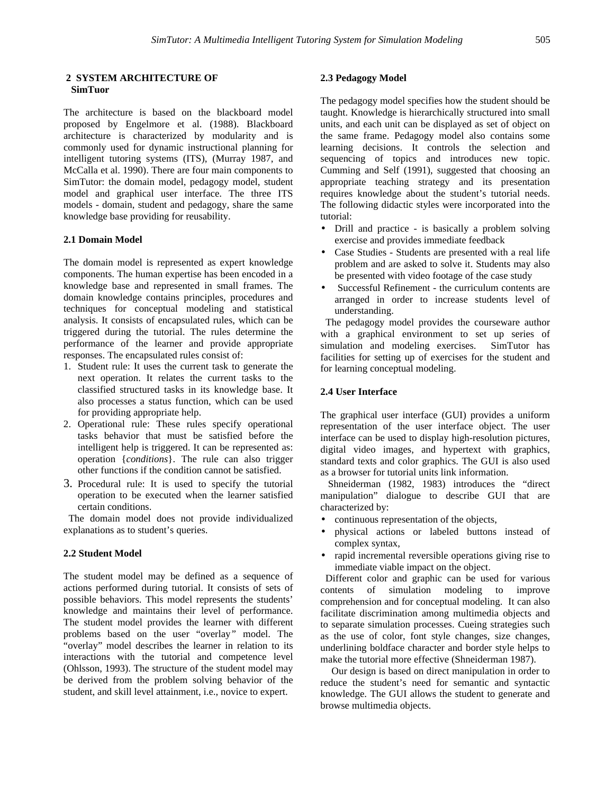# **2 SYSTEM ARCHITECTURE OF SimTuor**

The architecture is based on the blackboard model proposed by Engelmore et al. (1988). Blackboard architecture is characterized by modularity and is commonly used for dynamic instructional planning for intelligent tutoring systems (ITS), (Murray 1987, and McCalla et al. 1990). There are four main components to SimTutor: the domain model, pedagogy model, student model and graphical user interface. The three ITS models - domain, student and pedagogy, share the same knowledge base providing for reusability.

### **2.1 Domain Model**

The domain model is represented as expert knowledge components. The human expertise has been encoded in a knowledge base and represented in small frames. The domain knowledge contains principles, procedures and techniques for conceptual modeling and statistical analysis. It consists of encapsulated rules, which can be triggered during the tutorial. The rules determine the performance of the learner and provide appropriate responses. The encapsulated rules consist of:

- 1. Student rule: It uses the current task to generate the next operation. It relates the current tasks to the classified structured tasks in its knowledge base. It also processes a status function, which can be used for providing appropriate help.
- 2. Operational rule: These rules specify operational tasks behavior that must be satisfied before the intelligent help is triggered. It can be represented as: operation {*conditions*}. The rule can also trigger other functions if the condition cannot be satisfied.
- 3. Procedural rule: It is used to specify the tutorial operation to be executed when the learner satisfied certain conditions.

 The domain model does not provide individualized explanations as to student's queries.

#### **2.2 Student Model**

The student model may be defined as a sequence of actions performed during tutorial. It consists of sets of possible behaviors. This model represents the students' knowledge and maintains their level of performance. The student model provides the learner with different problems based on the user "overlay*"* model. The "overlay" model describes the learner in relation to its interactions with the tutorial and competence level (Ohlsson, 1993). The structure of the student model may be derived from the problem solving behavior of the student, and skill level attainment, i.e., novice to expert.

# **2.3 Pedagogy Model**

The pedagogy model specifies how the student should be taught. Knowledge is hierarchically structured into small units, and each unit can be displayed as set of object on the same frame. Pedagogy model also contains some learning decisions. It controls the selection and sequencing of topics and introduces new topic. Cumming and Self (1991), suggested that choosing an appropriate teaching strategy and its presentation requires knowledge about the student's tutorial needs. The following didactic styles were incorporated into the tutorial:

- Drill and practice is basically a problem solving exercise and provides immediate feedback
- Case Studies Students are presented with a real life problem and are asked to solve it. Students may also be presented with video footage of the case study
- Successful Refinement the curriculum contents are arranged in order to increase students level of understanding.

 The pedagogy model provides the courseware author with a graphical environment to set up series of simulation and modeling exercises. SimTutor has facilities for setting up of exercises for the student and for learning conceptual modeling.

### **2.4 User Interface**

The graphical user interface (GUI) provides a uniform representation of the user interface object. The user interface can be used to display high-resolution pictures, digital video images, and hypertext with graphics, standard texts and color graphics. The GUI is also used as a browser for tutorial units link information.

 Shneiderman (1982, 1983) introduces the "direct manipulation" dialogue to describe GUI that are characterized by:

- continuous representation of the objects,
- physical actions or labeled buttons instead of complex syntax,
- rapid incremental reversible operations giving rise to immediate viable impact on the object.

 Different color and graphic can be used for various contents of simulation modeling to improve comprehension and for conceptual modeling. It can also facilitate discrimination among multimedia objects and to separate simulation processes. Cueing strategies such as the use of color, font style changes, size changes, underlining boldface character and border style helps to make the tutorial more effective (Shneiderman 1987).

 Our design is based on direct manipulation in order to reduce the student's need for semantic and syntactic knowledge. The GUI allows the student to generate and browse multimedia objects.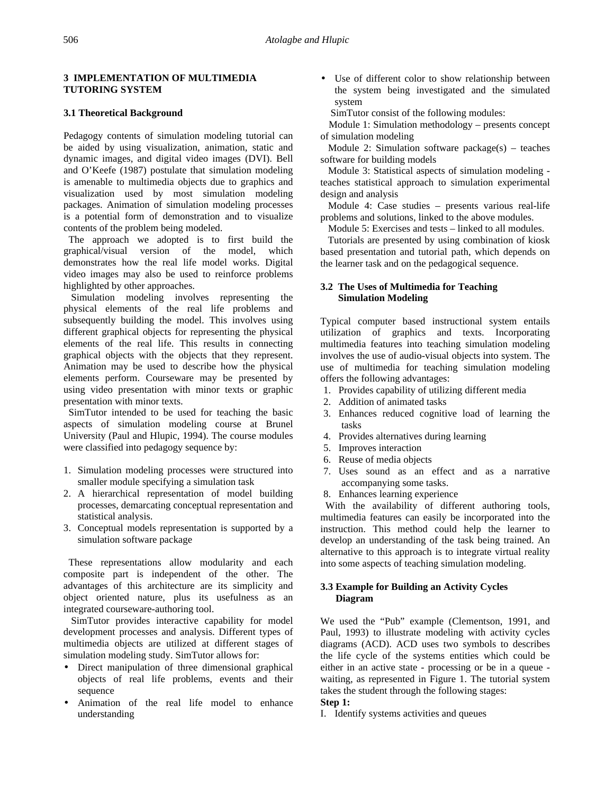# **3 IMPLEMENTATION OF MULTIMEDIA TUTORING SYSTEM**

## **3.1 Theoretical Background**

Pedagogy contents of simulation modeling tutorial can be aided by using visualization, animation, static and dynamic images, and digital video images (DVI). Bell and O'Keefe (1987) postulate that simulation modeling is amenable to multimedia objects due to graphics and visualization used by most simulation modeling packages. Animation of simulation modeling processes is a potential form of demonstration and to visualize contents of the problem being modeled.

 The approach we adopted is to first build the graphical/visual version of the model, which demonstrates how the real life model works. Digital video images may also be used to reinforce problems highlighted by other approaches.

 Simulation modeling involves representing the physical elements of the real life problems and subsequently building the model. This involves using different graphical objects for representing the physical elements of the real life. This results in connecting graphical objects with the objects that they represent. Animation may be used to describe how the physical elements perform. Courseware may be presented by using video presentation with minor texts or graphic presentation with minor texts.

 SimTutor intended to be used for teaching the basic aspects of simulation modeling course at Brunel University (Paul and Hlupic, 1994). The course modules were classified into pedagogy sequence by:

- 1. Simulation modeling processes were structured into smaller module specifying a simulation task
- 2. A hierarchical representation of model building processes, demarcating conceptual representation and statistical analysis.
- 3. Conceptual models representation is supported by a simulation software package

 These representations allow modularity and each composite part is independent of the other. The advantages of this architecture are its simplicity and object oriented nature, plus its usefulness as an integrated courseware-authoring tool.

 SimTutor provides interactive capability for model development processes and analysis. Different types of multimedia objects are utilized at different stages of simulation modeling study. SimTutor allows for:

- Direct manipulation of three dimensional graphical objects of real life problems, events and their sequence
- Animation of the real life model to enhance understanding

• Use of different color to show relationship between the system being investigated and the simulated system

SimTutor consist of the following modules:

 Module 1: Simulation methodology – presents concept of simulation modeling

Module 2: Simulation software  $package(s)$  – teaches software for building models

 Module 3: Statistical aspects of simulation modeling teaches statistical approach to simulation experimental design and analysis

 Module 4: Case studies – presents various real-life problems and solutions, linked to the above modules.

Module 5: Exercises and tests – linked to all modules.

 Tutorials are presented by using combination of kiosk based presentation and tutorial path, which depends on the learner task and on the pedagogical sequence.

# **3.2 The Uses of Multimedia for Teaching Simulation Modeling**

Typical computer based instructional system entails utilization of graphics and texts. Incorporating multimedia features into teaching simulation modeling involves the use of audio-visual objects into system. The use of multimedia for teaching simulation modeling offers the following advantages:

- 1. Provides capability of utilizing different media
- 2. Addition of animated tasks
- 3. Enhances reduced cognitive load of learning the tasks
- 4. Provides alternatives during learning
- 5. Improves interaction
- 6. Reuse of media objects
- 7. Uses sound as an effect and as a narrative accompanying some tasks.
- 8. Enhances learning experience

 With the availability of different authoring tools, multimedia features can easily be incorporated into the instruction. This method could help the learner to develop an understanding of the task being trained. An alternative to this approach is to integrate virtual reality into some aspects of teaching simulation modeling.

# **3.3 Example for Building an Activity Cycles Diagram**

We used the "Pub" example (Clementson, 1991, and Paul, 1993) to illustrate modeling with activity cycles diagrams (ACD). ACD uses two symbols to describes the life cycle of the systems entities which could be either in an active state - processing or be in a queue waiting, as represented in Figure 1. The tutorial system takes the student through the following stages:

# **Step 1:**

I. Identify systems activities and queues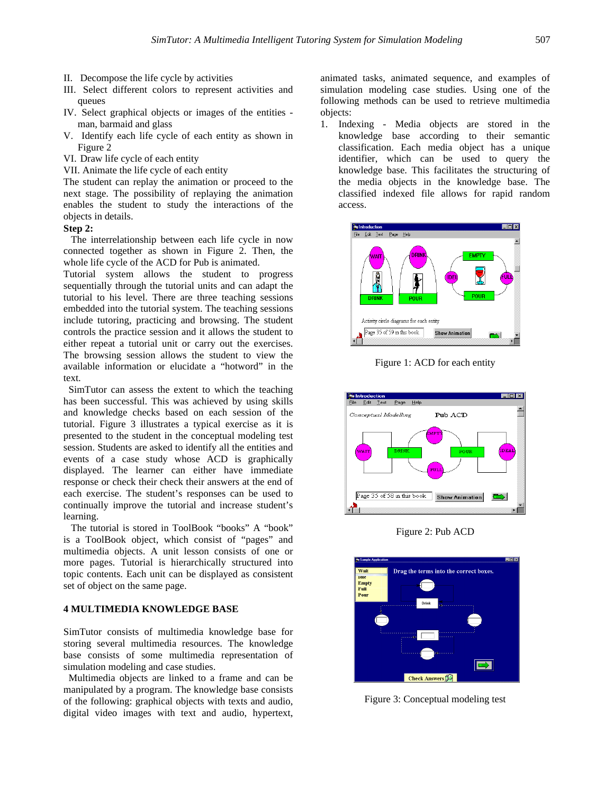- II. Decompose the life cycle by activities
- III. Select different colors to represent activities and queues
- IV. Select graphical objects or images of the entities man, barmaid and glass
- V. Identify each life cycle of each entity as shown in Figure 2
- VI. Draw life cycle of each entity
- VII. Animate the life cycle of each entity

The student can replay the animation or proceed to the next stage. The possibility of replaying the animation enables the student to study the interactions of the objects in details.

### **Step 2:**

 The interrelationship between each life cycle in now connected together as shown in Figure 2. Then, the whole life cycle of the ACD for Pub is animated.

Tutorial system allows the student to progress sequentially through the tutorial units and can adapt the tutorial to his level. There are three teaching sessions embedded into the tutorial system. The teaching sessions include tutoring, practicing and browsing. The student controls the practice session and it allows the student to either repeat a tutorial unit or carry out the exercises. The browsing session allows the student to view the available information or elucidate a "hotword" in the text.

 SimTutor can assess the extent to which the teaching has been successful. This was achieved by using skills and knowledge checks based on each session of the tutorial. Figure 3 illustrates a typical exercise as it is presented to the student in the conceptual modeling test session. Students are asked to identify all the entities and events of a case study whose ACD is graphically displayed. The learner can either have immediate response or check their check their answers at the end of each exercise. The student's responses can be used to continually improve the tutorial and increase student's learning.

 The tutorial is stored in ToolBook "books" A "book" is a ToolBook object, which consist of "pages" and multimedia objects. A unit lesson consists of one or more pages. Tutorial is hierarchically structured into topic contents. Each unit can be displayed as consistent set of object on the same page.

#### **4 MULTIMEDIA KNOWLEDGE BASE**

SimTutor consists of multimedia knowledge base for storing several multimedia resources. The knowledge base consists of some multimedia representation of simulation modeling and case studies.

 Multimedia objects are linked to a frame and can be manipulated by a program. The knowledge base consists of the following: graphical objects with texts and audio, digital video images with text and audio, hypertext, animated tasks, animated sequence, and examples of simulation modeling case studies. Using one of the following methods can be used to retrieve multimedia objects:

1. Indexing - Media objects are stored in the knowledge base according to their semantic classification. Each media object has a unique identifier, which can be used to query the knowledge base. This facilitates the structuring of the media objects in the knowledge base. The classified indexed file allows for rapid random access.



Figure 1: ACD for each entity



Figure 2: Pub ACD



Figure 3: Conceptual modeling test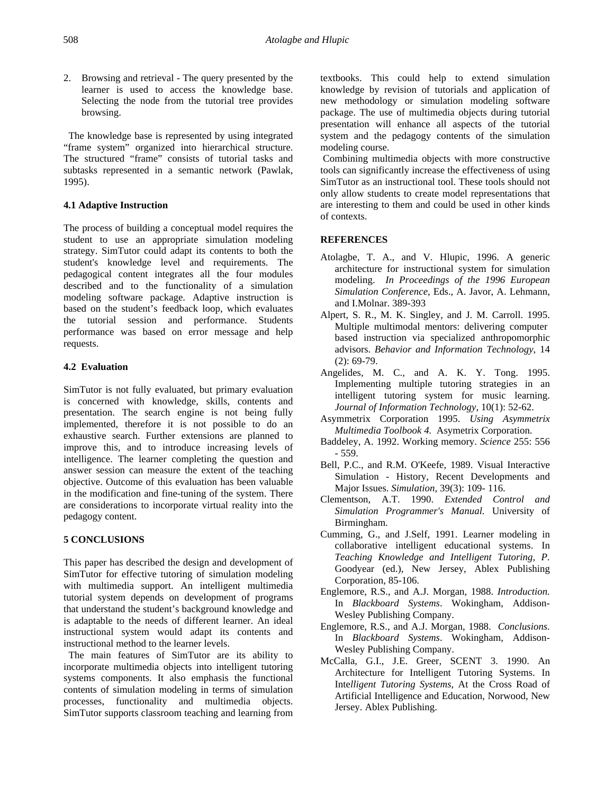2. Browsing and retrieval - The query presented by the learner is used to access the knowledge base. Selecting the node from the tutorial tree provides browsing.

 The knowledge base is represented by using integrated "frame system" organized into hierarchical structure. The structured "frame" consists of tutorial tasks and subtasks represented in a semantic network (Pawlak, 1995).

### **4.1 Adaptive Instruction**

The process of building a conceptual model requires the student to use an appropriate simulation modeling strategy. SimTutor could adapt its contents to both the student's knowledge level and requirements. The pedagogical content integrates all the four modules described and to the functionality of a simulation modeling software package. Adaptive instruction is based on the student's feedback loop, which evaluates the tutorial session and performance. Students performance was based on error message and help requests.

### **4.2 Evaluation**

SimTutor is not fully evaluated, but primary evaluation is concerned with knowledge, skills, contents and presentation. The search engine is not being fully implemented, therefore it is not possible to do an exhaustive search. Further extensions are planned to improve this, and to introduce increasing levels of intelligence. The learner completing the question and answer session can measure the extent of the teaching objective. Outcome of this evaluation has been valuable in the modification and fine-tuning of the system. There are considerations to incorporate virtual reality into the pedagogy content.

#### **5 CONCLUSIONS**

This paper has described the design and development of SimTutor for effective tutoring of simulation modeling with multimedia support. An intelligent multimedia tutorial system depends on development of programs that understand the student's background knowledge and is adaptable to the needs of different learner. An ideal instructional system would adapt its contents and instructional method to the learner levels.

 The main features of SimTutor are its ability to incorporate multimedia objects into intelligent tutoring systems components. It also emphasis the functional contents of simulation modeling in terms of simulation processes, functionality and multimedia objects. SimTutor supports classroom teaching and learning from

textbooks. This could help to extend simulation knowledge by revision of tutorials and application of new methodology or simulation modeling software package. The use of multimedia objects during tutorial presentation will enhance all aspects of the tutorial system and the pedagogy contents of the simulation modeling course.

 Combining multimedia objects with more constructive tools can significantly increase the effectiveness of using SimTutor as an instructional tool. These tools should not only allow students to create model representations that are interesting to them and could be used in other kinds of contexts.

#### **REFERENCES**

- Atolagbe, T. A., and V. Hlupic, 1996. A generic architecture for instructional system for simulation modeling. *In Proceedings of the 1996 European Simulation Conference*, Eds., A. Javor, A. Lehmann, and I.Molnar. 389-393
- Alpert, S. R., M. K. Singley, and J. M. Carroll. 1995. Multiple multimodal mentors: delivering computer based instruction via specialized anthropomorphic advisors. *Behavior and Information Technology*, 14 (2): 69-79.
- Angelides, M. C., and A. K. Y. Tong. 1995. Implementing multiple tutoring strategies in an intelligent tutoring system for music learning. *Journal of Information Technology,* 10(1): 52-62.
- Asymmetrix Corporation 1995. *Using Asymmetrix Multimedia Toolbook 4.* Asymetrix Corporation.
- Baddeley, A. 1992. Working memory. *Science* 255: 556 - 559.
- Bell, P.C., and R.M. O'Keefe, 1989. Visual Interactive Simulation - History, Recent Developments and Major Issues. *Simulation,* 39(3): 109- 116.
- Clementson, A.T. 1990. *Extended Control and Simulation Programmer's Manual.* University of Birmingham.
- Cumming, G., and J.Self, 1991. Learner modeling in collaborative intelligent educational systems. In *Teaching Knowledge and Intelligent Tutoring, P.* Goodyear (ed.), New Jersey, Ablex Publishing Corporation, 85-106.
- Englemore, R.S., and A.J. Morgan, 1988. *Introduction.* In *Blackboard Systems*. Wokingham, Addison-Wesley Publishing Company.
- Englemore, R.S., and A.J. Morgan, 1988. *Conclusions.* In *Blackboard Systems*. Wokingham, Addison-Wesley Publishing Company.
- McCalla, G.I., J.E. Greer, SCENT 3. 1990. An Architecture for Intelligent Tutoring Systems. In Inte*lligent Tutoring Systems*, At the Cross Road of Artificial Intelligence and Education, Norwood, New Jersey. Ablex Publishing.